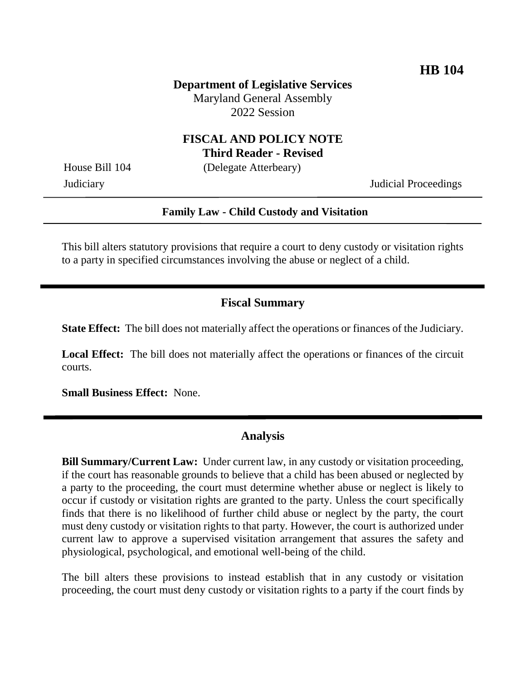**Department of Legislative Services** Maryland General Assembly 2022 Session

#### **FISCAL AND POLICY NOTE Third Reader - Revised**

House Bill 104 (Delegate Atterbeary)

Judiciary Judicial Proceedings

#### **Family Law - Child Custody and Visitation**

This bill alters statutory provisions that require a court to deny custody or visitation rights to a party in specified circumstances involving the abuse or neglect of a child.

## **Fiscal Summary**

**State Effect:** The bill does not materially affect the operations or finances of the Judiciary.

Local Effect: The bill does not materially affect the operations or finances of the circuit courts.

**Small Business Effect:** None.

### **Analysis**

**Bill Summary/Current Law:** Under current law, in any custody or visitation proceeding, if the court has reasonable grounds to believe that a child has been abused or neglected by a party to the proceeding, the court must determine whether abuse or neglect is likely to occur if custody or visitation rights are granted to the party. Unless the court specifically finds that there is no likelihood of further child abuse or neglect by the party, the court must deny custody or visitation rights to that party. However, the court is authorized under current law to approve a supervised visitation arrangement that assures the safety and physiological, psychological, and emotional well-being of the child.

The bill alters these provisions to instead establish that in any custody or visitation proceeding, the court must deny custody or visitation rights to a party if the court finds by